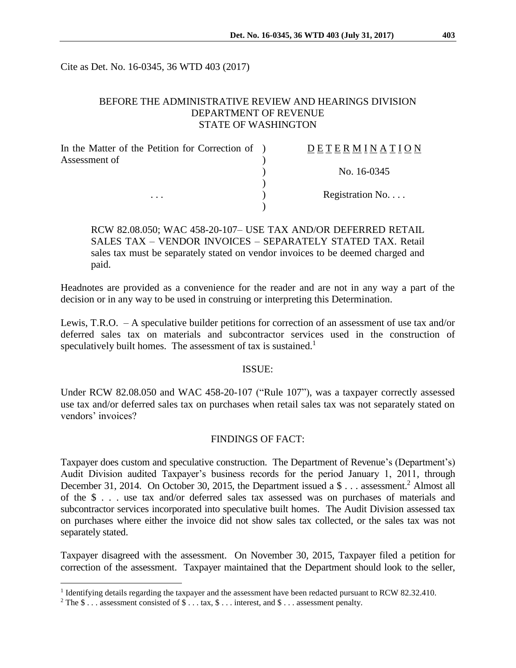Cite as Det. No. 16-0345, 36 WTD 403 (2017)

## BEFORE THE ADMINISTRATIVE REVIEW AND HEARINGS DIVISION DEPARTMENT OF REVENUE STATE OF WASHINGTON

| In the Matter of the Petition for Correction of ) | DETERMINATION   |
|---------------------------------------------------|-----------------|
| Assessment of<br>$\cdots$                         |                 |
|                                                   | No. 16-0345     |
|                                                   |                 |
|                                                   | Registration No |
|                                                   |                 |

## RCW 82.08.050; WAC 458-20-107– USE TAX AND/OR DEFERRED RETAIL SALES TAX – VENDOR INVOICES – SEPARATELY STATED TAX. Retail sales tax must be separately stated on vendor invoices to be deemed charged and paid.

Headnotes are provided as a convenience for the reader and are not in any way a part of the decision or in any way to be used in construing or interpreting this Determination.

Lewis, T.R.O. – A speculative builder petitions for correction of an assessment of use tax and/or deferred sales tax on materials and subcontractor services used in the construction of speculatively built homes. The assessment of tax is sustained.<sup>1</sup>

#### ISSUE:

Under RCW 82.08.050 and WAC 458-20-107 ("Rule 107"), was a taxpayer correctly assessed use tax and/or deferred sales tax on purchases when retail sales tax was not separately stated on vendors' invoices?

### FINDINGS OF FACT:

Taxpayer does custom and speculative construction. The Department of Revenue's (Department's) Audit Division audited Taxpayer's business records for the period January 1, 2011, through December 31, 2014. On October 30, 2015, the Department issued a \$ . . . assessment.<sup>2</sup> Almost all of the \$ . . . use tax and/or deferred sales tax assessed was on purchases of materials and subcontractor services incorporated into speculative built homes. The Audit Division assessed tax on purchases where either the invoice did not show sales tax collected, or the sales tax was not separately stated.

Taxpayer disagreed with the assessment. On November 30, 2015, Taxpayer filed a petition for correction of the assessment. Taxpayer maintained that the Department should look to the seller,

 $\overline{a}$ 

<sup>&</sup>lt;sup>1</sup> Identifying details regarding the taxpayer and the assessment have been redacted pursuant to RCW 82.32.410.

<sup>&</sup>lt;sup>2</sup> The \$ . . . assessment consisted of \$ . . . tax, \$ . . . interest, and \$ . . . assessment penalty.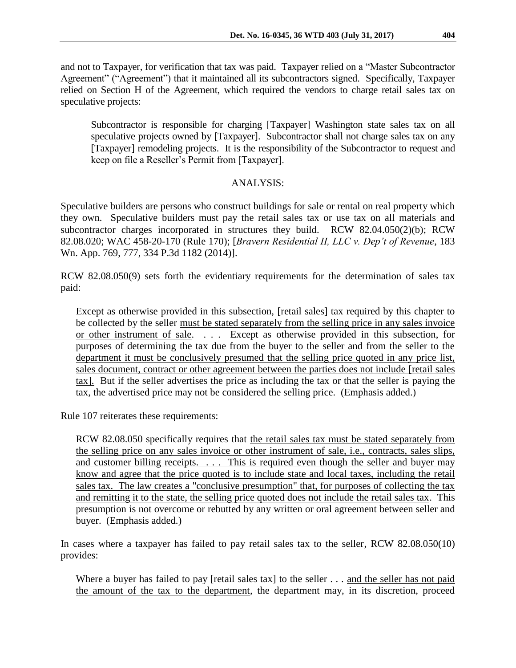and not to Taxpayer, for verification that tax was paid. Taxpayer relied on a "Master Subcontractor Agreement" ("Agreement") that it maintained all its subcontractors signed. Specifically, Taxpayer relied on Section H of the Agreement, which required the vendors to charge retail sales tax on speculative projects:

Subcontractor is responsible for charging [Taxpayer] Washington state sales tax on all speculative projects owned by [Taxpayer]. Subcontractor shall not charge sales tax on any [Taxpayer] remodeling projects. It is the responsibility of the Subcontractor to request and keep on file a Reseller's Permit from [Taxpayer].

# ANALYSIS:

Speculative builders are persons who construct buildings for sale or rental on real property which they own. Speculative builders must pay the retail sales tax or use tax on all materials and subcontractor charges incorporated in structures they build. RCW 82.04.050(2)(b); RCW 82.08.020; WAC 458-20-170 (Rule 170); [*Bravern Residential II, LLC v. Dep't of Revenue*, 183 Wn. App. 769, 777, 334 P.3d 1182 (2014)].

RCW 82.08.050(9) sets forth the evidentiary requirements for the determination of sales tax paid:

Except as otherwise provided in this subsection, [retail sales] tax required by this chapter to be collected by the seller must be stated separately from the selling price in any sales invoice or other instrument of sale. . . . Except as otherwise provided in this subsection, for purposes of determining the tax due from the buyer to the seller and from the seller to the department it must be conclusively presumed that the selling price quoted in any price list, sales document, contract or other agreement between the parties does not include [retail sales tax]. But if the seller advertises the price as including the tax or that the seller is paying the tax, the advertised price may not be considered the selling price. (Emphasis added.)

Rule 107 reiterates these requirements:

RCW 82.08.050 specifically requires that the retail sales tax must be stated separately from the selling price on any sales invoice or other instrument of sale, i.e., contracts, sales slips, and customer billing receipts. . . . This is required even though the seller and buyer may know and agree that the price quoted is to include state and local taxes, including the retail sales tax. The law creates a "conclusive presumption" that, for purposes of collecting the tax and remitting it to the state, the selling price quoted does not include the retail sales tax. This presumption is not overcome or rebutted by any written or oral agreement between seller and buyer. (Emphasis added.)

In cases where a taxpayer has failed to pay retail sales tax to the seller, RCW 82.08.050(10) provides:

Where a buyer has failed to pay [retail sales tax] to the seller . . . and the seller has not paid the amount of the tax to the department, the department may, in its discretion, proceed